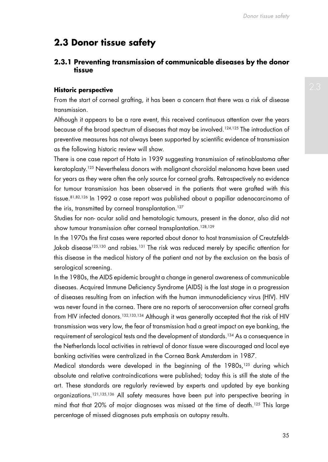# **2.3 Donor tissue safety**

# **2.3.1 Preventing transmission of communicable diseases by the donor tissue**

#### **Historic perspective**

From the start of corneal grafting, it has been a concern that there was a risk of disease transmission.

Although it appears to be a rare event, this received continuous attention over the years because of the broad spectrum of diseases that may be involved.124,125 The introduction of preventive measures has not always been supported by scientific evidence of transmission as the following historic review will show.

There is one case report of Hata in 1939 suggesting transmission of retinoblastoma after keratoplasty.125 Nevertheless donors with malignant choroïdal melanoma have been used for years as they were often the only source for corneal grafts. Retrospectively no evidence for tumour transmission has been observed in the patients that were grafted with this tissue.81,82,126 In 1992 a case report was published about a papillar adenocarcinoma of the iris, transmitted by corneal transplantation.<sup>127</sup>

Studies for non- ocular solid and hematologic tumours, present in the donor, also did not show tumour transmission after corneal transplantation.<sup>128,129</sup>

In the 1970s the first cases were reported about donor to host transmission of Creutzfeldt-Jakob disease<sup>125,130</sup> and rabies.<sup>131</sup> The risk was reduced merely by specific attention for this disease in the medical history of the patient and not by the exclusion on the basis of serological screening.

In the 1980s, the AIDS epidemic brought a change in general awareness of communicable diseases. Acquired Immune Deficiency Syndrome (AIDS) is the last stage in a progression of diseases resulting from an infection with the human immunodeficiency virus (HIV). HIV was never found in the cornea. There are no reports of seroconversion after corneal grafts from HIV infected donors.<sup>132,133,134</sup> Although it was generally accepted that the risk of HIV transmission was very low, the fear of transmission had a great impact on eye banking, the requirement of serological tests and the development of standards.134 As a consequence in the Netherlands local activities in retrieval of donor tissue were discouraged and local eye banking activities were centralized in the Cornea Bank Amsterdam in 1987.

Medical standards were developed in the beginning of the 1980s,<sup>125</sup> during which absolute and relative contraindications were published; today this is still the state of the art. These standards are regularly reviewed by experts and updated by eye banking organizations.121,135,136 All safety measures have been put into perspective bearing in mind that that 20% of major diagnoses was missed at the time of death.<sup>125</sup> This large percentage of missed diagnoses puts emphasis on autopsy results.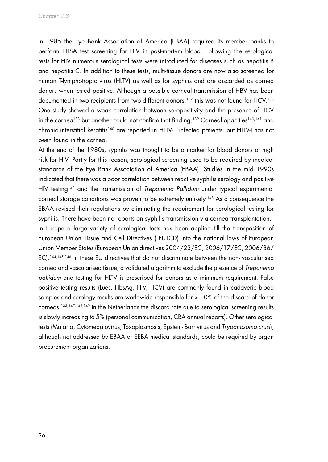In 1985 the Eye Bank Association of America (EBAA) required its member banks to perform ELISA test screening for HIV in post-mortem blood. Following the serological tests for HIV numerous serological tests were introduced for diseases such as hepatitis B and hepatitis C. In addition to these tests, multi-tissue donors are now also screened for human T-lymphotropic virus (HLTV) as well as for syphilis and are discarded as cornea donors when tested positive. Although a possible corneal transmission of HBV has been documented in two recipients from two different donors,<sup>137</sup> this was not found for HCV.<sup>133</sup> One study showed a weak correlation between seropositivity and the presence of HCV in the cornea<sup>138</sup> but another could not confirm that finding.<sup>139</sup> Corneal opacities<sup>140,141</sup> and chronic interstitial keratitis<sup>140</sup> are reported in HTLV-1 infected patients, but HTLV-I has not been found in the cornea.

At the end of the 1980s, syphilis was thought to be a marker for blood donors at high risk for HIV. Partly for this reason, serological screening used to be required by medical standards of the Eye Bank Association of America (EBAA). Studies in the mid 1990s indicated that there was a poor correlation between reactive syphilis serology and positive HIV testing142 and the transmission of *Treponema Pallidum* under typical experimental corneal storage conditions was proven to be extremely unlikely.<sup>143</sup> As a consequence the EBAA revised their regulations by eliminating the requirement for serological testing for syphilis. There have been no reports on syphilis transmission via cornea transplantation.

In Europe a large variety of serological tests has been applied till the transposition of European Union Tissue and Cell Directives ( EUTCD) into the national laws of European Union Member States (European Union directives 2004/23/EC, 2006/17/EC, 2006/86/ EC).<sup>144,145,146</sup> In these EU directives that do not discriminate between the non-vascularised cornea and vascularised tissue, a validated algorithm to exclude the presence of *Treponema pallidum* and testing for HLTV is prescribed for donors as a minimum requirement. False positive testing results (Lues, HbsAg, HIV, HCV) are commonly found in cadaveric blood samples and serology results are worldwide responsible for > 10% of the discard of donor corneas.133,147,148,149 In the Netherlands the discard rate due to serological screening results is slowly increasing to 5% (personal communication, CBA annual reports). Other serological tests (Malaria, Cytomegalovirus, Toxoplasmosis, Epstein- Barr virus and *Trypanosoma crusi*), although not addressed by EBAA or EEBA medical standards, could be required by organ procurement organizations.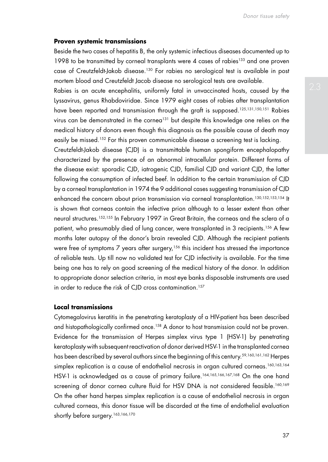### **Proven systemic transmissions**

Beside the two cases of hepatitis B, the only systemic infectious diseases documented up to 1998 to be transmitted by corneal transplants were 4 cases of rabies<sup>133</sup> and one proven case of Creutzfeldt-Jakob disease.130 For rabies no serological test is available in post mortem blood and Creutzfeldt Jacob disease no serological tests are available.

Rabies is an acute encephalitis, uniformly fatal in unvaccinated hosts, caused by the Lyssavirus, genus Rhabdoviridae. Since 1979 eight cases of rabies after transplantation have been reported and transmission through the graft is supposed.<sup>125,131,150,151</sup> Rabies virus can be demonstrated in the cornea<sup>131</sup> but despite this knowledge one relies on the medical history of donors even though this diagnosis as the possible cause of death may easily be missed.<sup>152</sup> For this proven communicable disease a screening test is lacking.

Creutzfeldt-Jakob disease (CJD) is a transmittable human spongiform encephalopathy characterized by the presence of an abnormal intracellular protein. Different forms of the disease exist: sporadic CJD, iatrogenic CJD, familial CJD and variant CJD, the latter following the consumption of infected beef. In addition to the certain transmission of CJD by a corneal transplantation in 1974 the 9 additional cases suggesting transmission of CJD enhanced the concern about prion transmission via corneal transplantation.<sup>130,152,153,154</sup> It is shown that corneas contain the infective prion although to a lesser extent than other neural structures.152,155 In February 1997 in Great Britain, the corneas and the sclera of a patient, who presumably died of lung cancer, were transplanted in 3 recipients.<sup>156</sup> A few months later autopsy of the donor's brain revealed CJD. Although the recipient patients were free of symptoms 7 years after surgery,<sup>156</sup> this incident has stressed the importance of reliable tests. Up till now no validated test for CJD infectivity is available. For the time being one has to rely on good screening of the medical history of the donor. In addition to appropriate donor selection criteria, in most eye banks disposable instruments are used in order to reduce the risk of CJD cross contamination.<sup>157</sup>

### **Local transmissions**

Cytomegalovirus keratitis in the penetrating keratoplasty of a HIV-patient has been described and histopathologically confirmed once.<sup>158</sup> A donor to host transmission could not be proven. Evidence for the transmission of Herpes simplex virus type 1 (HSV-1) by penetrating keratoplasty with subsequent reactivation of donor derived HSV-1 in the transplanted cornea has been described by several authors since the beginning of this century.<sup>59,160,161,162</sup> Herpes simplex replication is a cause of endothelial necrosis in organ cultured corneas.<sup>160,163,164</sup> HSV-1 is acknowledged as a cause of primary failure.<sup>164,165,166,167,168</sup> On the one hand screening of donor cornea culture fluid for HSV DNA is not considered feasible.<sup>160,169</sup> On the other hand herpes simplex replication is a cause of endothelial necrosis in organ cultured corneas, this donor tissue will be discarded at the time of endothelial evaluation shortly before surgery.<sup>163,166,170</sup>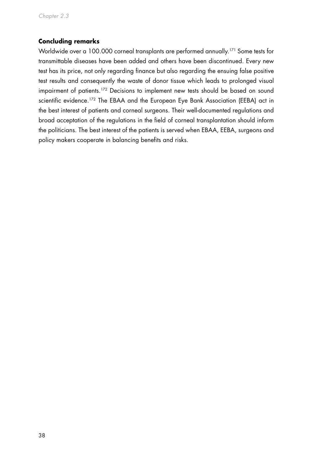# **Concluding remarks**

Worldwide over a 100.000 corneal transplants are performed annually.<sup>171</sup> Some tests for transmittable diseases have been added and others have been discontinued. Every new test has its price, not only regarding finance but also regarding the ensuing false positive test results and consequently the waste of donor tissue which leads to prolonged visual impairment of patients.<sup>172</sup> Decisions to implement new tests should be based on sound scientific evidence.<sup>172</sup> The EBAA and the European Eye Bank Association (EEBA) act in the best interest of patients and corneal surgeons. Their well-documented regulations and broad acceptation of the regulations in the field of corneal transplantation should inform the politicians. The best interest of the patients is served when EBAA, EEBA, surgeons and policy makers cooperate in balancing benefits and risks.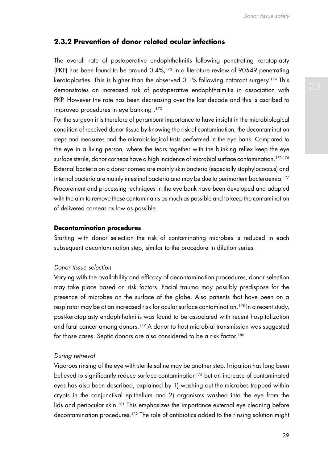# **2.3.2 Prevention of donor related ocular infections**

The overall rate of postoperative endophthalmitis following penetrating keratoplasty (PKP) has been found to be around 0.4%,173 in a literature review of 90549 penetrating keratoplasties. This is higher than the observed  $0.1\%$  following cataract surgery.<sup>174</sup> This demonstrates an increased risk of postoperative endophthalmitis in association with PKP. However the rate has been decreasing over the last decade and this is ascribed to improved procedures in eye banking .<sup>173</sup>

For the surgeon it is therefore of paramount importance to have insight in the microbiological condition of received donor tissue by knowing the risk of contamination, the decontamination steps and measures and the microbiological tests performed in the eye bank. Compared to the eye in a living person, where the tears together with the blinking reflex keep the eye surface sterile, donor corneas have a high incidence of microbial surface contamination.<sup>175,176</sup> External bacteria on a donor cornea are mainly skin bacteria (especially staphylococcus) and internal bacteria are mainly intestinal bacteria and may be due to perimortem bacteraemia.<sup>177</sup> Procurement and processing techniques in the eye bank have been developed and adapted with the aim to remove these contaminants as much as possible and to keep the contamination of delivered corneas as low as possible.

#### **Decontamination procedures**

Starting with donor selection the risk of contaminating microbes is reduced in each subsequent decontamination step, similar to the procedure in dilution series.

# *Donor tissue selection*

Varying with the availability and efficacy of decontamination procedures, donor selection may take place based on risk factors. Facial trauma may possibly predispose for the presence of microbes on the surface of the globe. Also patients that have been on a respirator may be at an increased risk for ocular surface contamination.<sup>178</sup> In a recent study, post-keratoplasty endophthalmitis was found to be associated with recent hospitalization and fatal cancer among donors.<sup>179</sup> A donor to host microbial transmission was suggested for those cases. Septic donors are also considered to be a risk factor.<sup>180</sup>

#### *During retrieval*

Vigorous rinsing of the eye with sterile saline may be another step. Irrigation has long been believed to significantly reduce surface contamination<sup>176</sup> but an increase of contaminated eyes has also been described, explained by 1) washing out the microbes trapped within crypts in the conjunctival epithelium and 2) organisms washed into the eye from the lids and periocular skin.<sup>181</sup> This emphasizes the importance external eye cleaning before decontamination procedures.<sup>182</sup> The role of antibiotics added to the rinsing solution might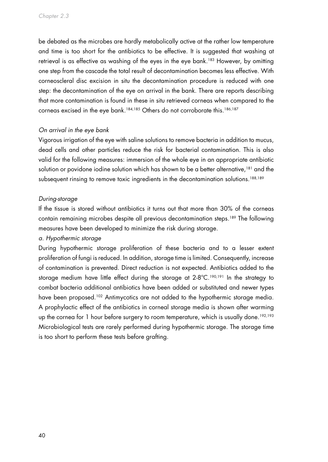be debated as the microbes are hardly metabolically active at the rather low temperature and time is too short for the antibiotics to be effective. It is suggested that washing at retrieval is as effective as washing of the eyes in the eye bank.<sup>183</sup> However, by omitting one step from the cascade the total result of decontamination becomes less effective. With corneoscleral disc excision in situ the decontamination procedure is reduced with one step: the decontamination of the eye on arrival in the bank. There are reports describing that more contamination is found in these in situ retrieved corneas when compared to the corneas excised in the eye bank.<sup>184,185</sup> Others do not corroborate this.<sup>186,187</sup>

# *On arrival in the eye bank*

Vigorous irrigation of the eye with saline solutions to remove bacteria in addition to mucus, dead cells and other particles reduce the risk for bacterial contamination. This is also valid for the following measures: immersion of the whole eye in an appropriate antibiotic solution or povidone iodine solution which has shown to be a better alternative,<sup>181</sup> and the subsequent rinsing to remove toxic ingredients in the decontamination solutions.<sup>188,189</sup>

### *During-storage*

If the tissue is stored without antibiotics it turns out that more than 30% of the corneas contain remaining microbes despite all previous decontamination steps.<sup>189</sup> The following measures have been developed to minimize the risk during storage.

# *a. Hypothermic storage*

During hypothermic storage proliferation of these bacteria and to a lesser extent proliferation of fungi is reduced. In addition, storage time is limited. Consequently, increase of contamination is prevented. Direct reduction is not expected. Antibiotics added to the storage medium have little effect during the storage at 2-8°C.<sup>190,191</sup> In the strategy to combat bacteria additional antibiotics have been added or substituted and newer types have been proposed.<sup>102</sup> Antimycotics are not added to the hypothermic storage media. A prophylactic effect of the antibiotics in corneal storage media is shown after warming up the cornea for 1 hour before surgery to room temperature, which is usually done.<sup>192,193</sup> Microbiological tests are rarely performed during hypothermic storage. The storage time is too short to perform these tests before grafting.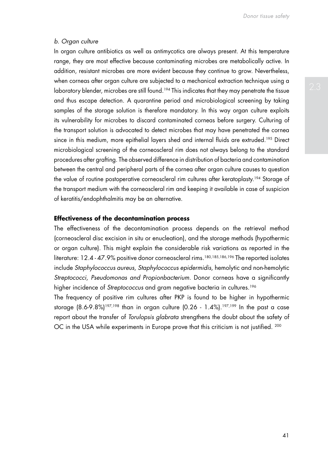### *b. Organ culture*

In organ culture antibiotics as well as antimycotics are always present. At this temperature range, they are most effective because contaminating microbes are metabolically active. In addition, resistant microbes are more evident because they continue to grow. Nevertheless, when corneas after organ culture are subjected to a mechanical extraction technique using a laboratory blender, microbes are still found.<sup>194</sup> This indicates that they may penetrate the tissue and thus escape detection. A quarantine period and microbiological screening by taking samples of the storage solution is therefore mandatory. In this way organ culture exploits its vulnerability for microbes to discard contaminated corneas before surgery. Culturing of the transport solution is advocated to detect microbes that may have penetrated the cornea since in this medium, more epithelial layers shed and internal fluids are extruded.<sup>195</sup> Direct microbiological screening of the corneoscleral rim does not always belong to the standard procedures after grafting. The observed difference in distribution of bacteria and contamination between the central and peripheral parts of the cornea after organ culture causes to question the value of routine postoperative corneoscleral rim cultures after keratoplasty.<sup>194</sup> Storage of the transport medium with the corneoscleral rim and keeping it available in case of suspicion of keratitis/endophthalmitis may be an alternative.

#### **Effectiveness of the decontamination process**

The effectiveness of the decontamination process depends on the retrieval method (corneoscleral disc excision in situ or enucleation), and the storage methods (hypothermic or organ culture). This might explain the considerable risk variations as reported in the literature: 12.4 - 47.9% positive donor corneoscleral rims.<sup>180,185,186,196</sup> The reported isolates include *Staphylococcus aureus, Staphylococcus epidermidis,* hemolytic and non-hemolytic *Streptococci, Pseudomonas and Propionbacterium.* Donor corneas have a significantly higher incidence of *Streptococcus* and gram negative bacteria in cultures.<sup>196</sup>

The frequency of positive rim cultures after PKP is found to be higher in hypothermic storage  $(8.6 - 9.8\%)^{197,198}$  than in organ culture  $(0.26 - 1.4\%)$ .<sup>197,199</sup> In the past a case report about the transfer of *Torulopsis glabrata* strengthens the doubt about the safety of OC in the USA while experiments in Europe prove that this criticism is not justified. <sup>200</sup>